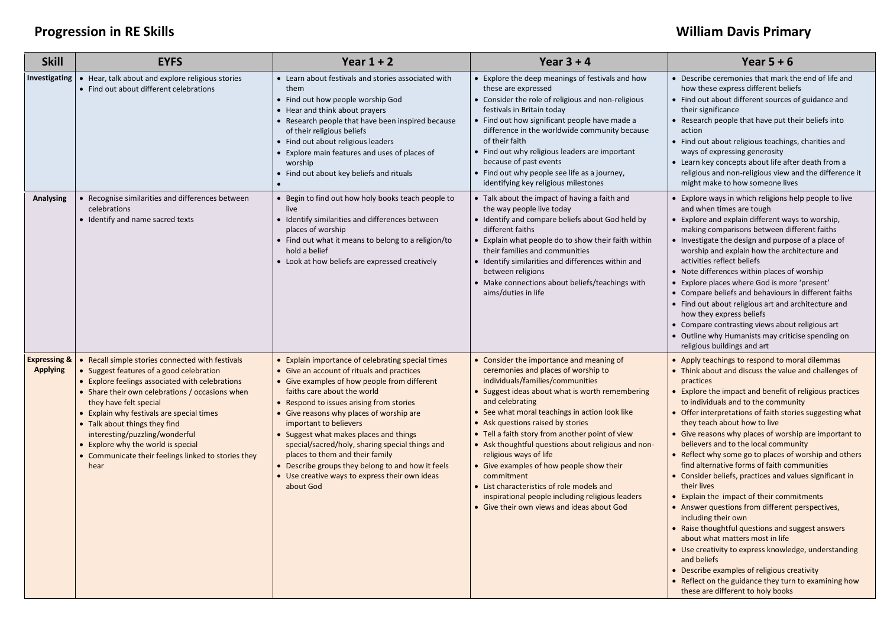## **Progression in RE Skills William Davis Primary**

| <b>Skill</b>                               | <b>EYFS</b>                                                                                                                                                                                                                                                                                                                                                                                                                                   | Year $1 + 2$                                                                                                                                                                                                                                                                                                                                                                                                                                                                                                                                         | Year $3 + 4$                                                                                                                                                                                                                                                                                                                                                                                                                                                                                                                                                                                                                  | Year $5 + 6$                                                                                                                                                                                                                                                                                                                                                                                                                                                                                                                                                                                                                                                                                                                                                                                                                                                                                                                                                                                                                           |
|--------------------------------------------|-----------------------------------------------------------------------------------------------------------------------------------------------------------------------------------------------------------------------------------------------------------------------------------------------------------------------------------------------------------------------------------------------------------------------------------------------|------------------------------------------------------------------------------------------------------------------------------------------------------------------------------------------------------------------------------------------------------------------------------------------------------------------------------------------------------------------------------------------------------------------------------------------------------------------------------------------------------------------------------------------------------|-------------------------------------------------------------------------------------------------------------------------------------------------------------------------------------------------------------------------------------------------------------------------------------------------------------------------------------------------------------------------------------------------------------------------------------------------------------------------------------------------------------------------------------------------------------------------------------------------------------------------------|----------------------------------------------------------------------------------------------------------------------------------------------------------------------------------------------------------------------------------------------------------------------------------------------------------------------------------------------------------------------------------------------------------------------------------------------------------------------------------------------------------------------------------------------------------------------------------------------------------------------------------------------------------------------------------------------------------------------------------------------------------------------------------------------------------------------------------------------------------------------------------------------------------------------------------------------------------------------------------------------------------------------------------------|
| <b>Investigating</b>                       | Hear, talk about and explore religious stories<br>• Find out about different celebrations                                                                                                                                                                                                                                                                                                                                                     | • Learn about festivals and stories associated with<br>them<br>• Find out how people worship God<br>• Hear and think about prayers<br>• Research people that have been inspired because<br>of their religious beliefs<br>• Find out about religious leaders<br>• Explore main features and uses of places of<br>worship<br>• Find out about key beliefs and rituals                                                                                                                                                                                  | • Explore the deep meanings of festivals and how<br>these are expressed<br>• Consider the role of religious and non-religious<br>festivals in Britain today<br>• Find out how significant people have made a<br>difference in the worldwide community because<br>of their faith<br>• Find out why religious leaders are important<br>because of past events<br>• Find out why people see life as a journey,<br>identifying key religious milestones                                                                                                                                                                           | • Describe ceremonies that mark the end of life and<br>how these express different beliefs<br>• Find out about different sources of guidance and<br>their significance<br>• Research people that have put their beliefs into<br>action<br>• Find out about religious teachings, charities and<br>ways of expressing generosity<br>• Learn key concepts about life after death from a<br>religious and non-religious view and the difference it<br>might make to how someone lives                                                                                                                                                                                                                                                                                                                                                                                                                                                                                                                                                      |
| <b>Analysing</b>                           | Recognise similarities and differences between<br>celebrations<br>• Identify and name sacred texts                                                                                                                                                                                                                                                                                                                                            | • Begin to find out how holy books teach people to<br>live<br>• Identify similarities and differences between<br>places of worship<br>• Find out what it means to belong to a religion/to<br>hold a belief<br>• Look at how beliefs are expressed creatively                                                                                                                                                                                                                                                                                         | • Talk about the impact of having a faith and<br>the way people live today<br>• Identify and compare beliefs about God held by<br>different faiths<br>• Explain what people do to show their faith within<br>their families and communities<br>• Identify similarities and differences within and<br>between religions<br>Make connections about beliefs/teachings with<br>aims/duties in life                                                                                                                                                                                                                                | • Explore ways in which religions help people to live<br>and when times are tough<br>• Explore and explain different ways to worship,<br>making comparisons between different faiths<br>• Investigate the design and purpose of a place of<br>worship and explain how the architecture and<br>activities reflect beliefs<br>• Note differences within places of worship<br>• Explore places where God is more 'present'<br>• Compare beliefs and behaviours in different faiths<br>• Find out about religious art and architecture and<br>how they express beliefs<br>• Compare contrasting views about religious art<br>• Outline why Humanists may criticise spending on<br>religious buildings and art                                                                                                                                                                                                                                                                                                                              |
| <b>Expressing &amp;</b><br><b>Applying</b> | Recall simple stories connected with festivals<br>Suggest features of a good celebration<br>• Explore feelings associated with celebrations<br>• Share their own celebrations / occasions when<br>they have felt special<br>• Explain why festivals are special times<br>• Talk about things they find<br>interesting/puzzling/wonderful<br>• Explore why the world is special<br>• Communicate their feelings linked to stories they<br>hear | • Explain importance of celebrating special times<br>• Give an account of rituals and practices<br>• Give examples of how people from different<br>faiths care about the world<br>• Respond to issues arising from stories<br>• Give reasons why places of worship are<br>important to believers<br>• Suggest what makes places and things<br>special/sacred/holy, sharing special things and<br>places to them and their family<br>• Describe groups they belong to and how it feels<br>• Use creative ways to express their own ideas<br>about God | • Consider the importance and meaning of<br>ceremonies and places of worship to<br>individuals/families/communities<br>• Suggest ideas about what is worth remembering<br>and celebrating<br>• See what moral teachings in action look like<br>• Ask questions raised by stories<br>• Tell a faith story from another point of view<br>• Ask thoughtful questions about religious and non-<br>religious ways of life<br>• Give examples of how people show their<br>commitment<br>• List characteristics of role models and<br>inspirational people including religious leaders<br>• Give their own views and ideas about God | • Apply teachings to respond to moral dilemmas<br>• Think about and discuss the value and challenges of<br>practices<br>• Explore the impact and benefit of religious practices<br>to individuals and to the community<br>• Offer interpretations of faith stories suggesting what<br>they teach about how to live<br>• Give reasons why places of worship are important to<br>believers and to the local community<br>• Reflect why some go to places of worship and others<br>find alternative forms of faith communities<br>• Consider beliefs, practices and values significant in<br>their lives<br>• Explain the impact of their commitments<br>• Answer questions from different perspectives,<br>including their own<br>• Raise thoughtful questions and suggest answers<br>about what matters most in life<br>• Use creativity to express knowledge, understanding<br>and beliefs<br>• Describe examples of religious creativity<br>• Reflect on the guidance they turn to examining how<br>these are different to holy books |